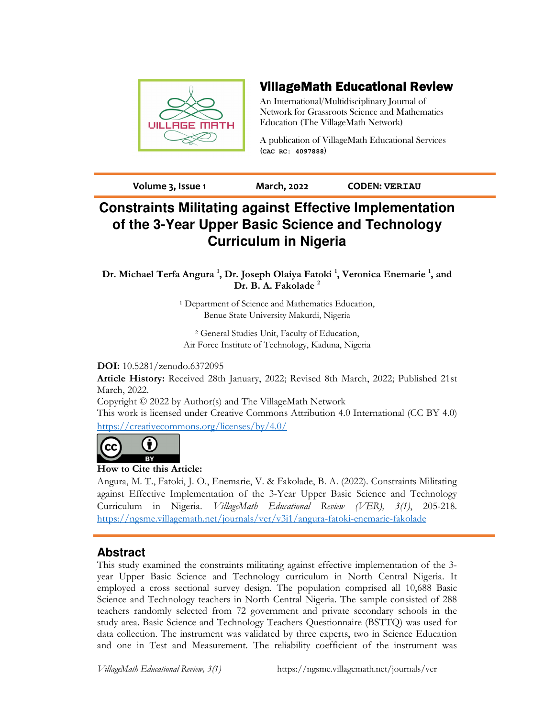

# VillageMath Educational Review

An International/Multidisciplinary Journal of Network for Grassroots Science and Mathematics Education (The VillageMath Network)

A publication of VillageMath Educational Services (**CAC RC: 4097888**)

**Volume 3, Issue 1 March, 2022 CODEN: VERIAU**

# **Constraints Militating against Effective Implementation of the 3-Year Upper Basic Science and Technology Curriculum in Nigeria**

**Dr. Michael Terfa Angura <sup>1</sup> , Dr. Joseph Olaiya Fatoki <sup>1</sup> , Veronica Enemarie <sup>1</sup> , and Dr. B. A. Fakolade <sup>2</sup>**

> 1 Department of Science and Mathematics Education, Benue State University Makurdi, Nigeria

2 General Studies Unit, Faculty of Education, Air Force Institute of Technology, Kaduna, Nigeria

## **DOI:** 10.5281/zenodo.6372095

**Article History:** Received 28th January, 2022; Revised 8th March, 2022; Published 21st March, 2022.

Copyright © 2022 by Author(s) and The VillageMath Network

This work is licensed under Creative Commons Attribution 4.0 International (CC BY 4.0) https://creativecommons.org/licenses/by/4.0/



## **How to Cite this Article:**

Angura, M. T., Fatoki, J. O., Enemarie, V. & Fakolade, B. A. (2022). Constraints Militating against Effective Implementation of the 3-Year Upper Basic Science and Technology Curriculum in Nigeria. *VillageMath Educational Review (VER), 3(1)*, 205-218. https://ngsme.villagemath.net/journals/ver/v3i1/angura-fatoki-enemarie-fakolade

## **Abstract**

This study examined the constraints militating against effective implementation of the 3 year Upper Basic Science and Technology curriculum in North Central Nigeria. It employed a cross sectional survey design. The population comprised all 10,688 Basic Science and Technology teachers in North Central Nigeria. The sample consisted of 288 teachers randomly selected from 72 government and private secondary schools in the study area. Basic Science and Technology Teachers Questionnaire (BSTTQ) was used for data collection. The instrument was validated by three experts, two in Science Education and one in Test and Measurement. The reliability coefficient of the instrument was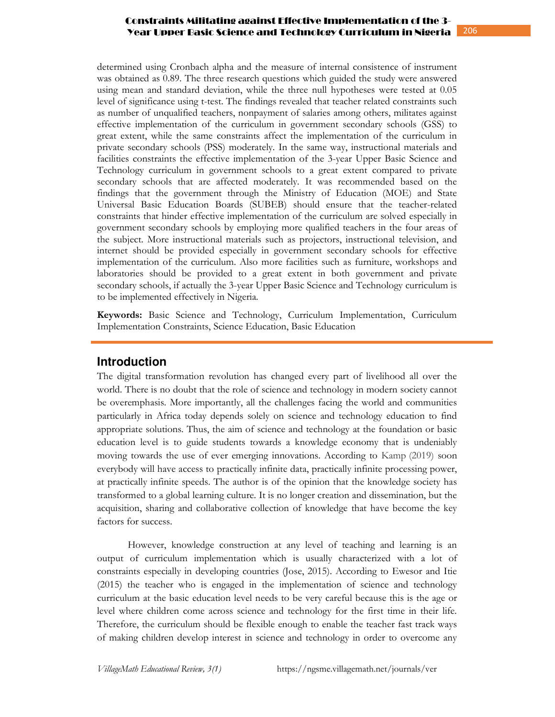determined using Cronbach alpha and the measure of internal consistence of instrument was obtained as 0.89. The three research questions which guided the study were answered using mean and standard deviation, while the three null hypotheses were tested at 0.05 level of significance using t-test. The findings revealed that teacher related constraints such as number of unqualified teachers, nonpayment of salaries among others, militates against effective implementation of the curriculum in government secondary schools (GSS) to great extent, while the same constraints affect the implementation of the curriculum in private secondary schools (PSS) moderately. In the same way, instructional materials and facilities constraints the effective implementation of the 3-year Upper Basic Science and Technology curriculum in government schools to a great extent compared to private secondary schools that are affected moderately. It was recommended based on the findings that the government through the Ministry of Education (MOE) and State Universal Basic Education Boards (SUBEB) should ensure that the teacher-related constraints that hinder effective implementation of the curriculum are solved especially in government secondary schools by employing more qualified teachers in the four areas of the subject. More instructional materials such as projectors, instructional television, and internet should be provided especially in government secondary schools for effective implementation of the curriculum. Also more facilities such as furniture, workshops and laboratories should be provided to a great extent in both government and private secondary schools, if actually the 3-year Upper Basic Science and Technology curriculum is to be implemented effectively in Nigeria.

**Keywords:** Basic Science and Technology, Curriculum Implementation, Curriculum Implementation Constraints, Science Education, Basic Education

## **Introduction**

The digital transformation revolution has changed every part of livelihood all over the world. There is no doubt that the role of science and technology in modern society cannot be overemphasis. More importantly, all the challenges facing the world and communities particularly in Africa today depends solely on science and technology education to find appropriate solutions. Thus, the aim of science and technology at the foundation or basic education level is to guide students towards a knowledge economy that is undeniably moving towards the use of ever emerging innovations. According to Kamp (2019) soon everybody will have access to practically infinite data, practically infinite processing power, at practically infinite speeds. The author is of the opinion that the knowledge society has transformed to a global learning culture. It is no longer creation and dissemination, but the acquisition, sharing and collaborative collection of knowledge that have become the key factors for success.

However, knowledge construction at any level of teaching and learning is an output of curriculum implementation which is usually characterized with a lot of constraints especially in developing countries (Jose, 2015). According to Ewesor and Itie (2015) the teacher who is engaged in the implementation of science and technology curriculum at the basic education level needs to be very careful because this is the age or level where children come across science and technology for the first time in their life. Therefore, the curriculum should be flexible enough to enable the teacher fast track ways of making children develop interest in science and technology in order to overcome any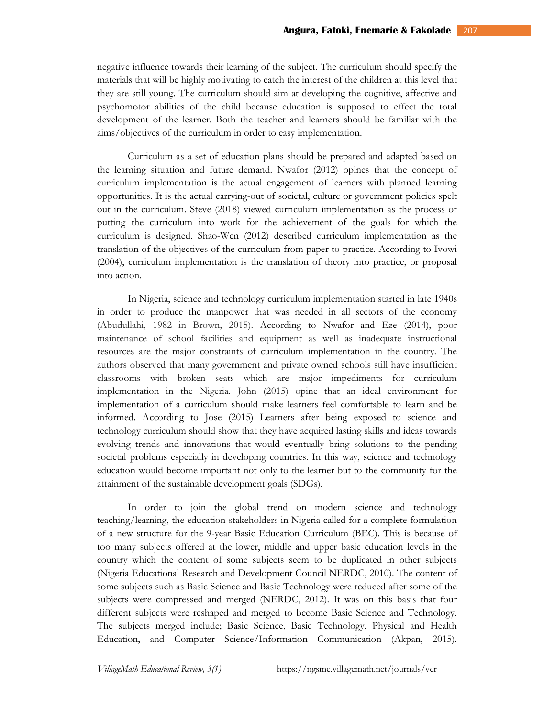negative influence towards their learning of the subject. The curriculum should specify the materials that will be highly motivating to catch the interest of the children at this level that they are still young. The curriculum should aim at developing the cognitive, affective and psychomotor abilities of the child because education is supposed to effect the total development of the learner. Both the teacher and learners should be familiar with the aims/objectives of the curriculum in order to easy implementation.

Curriculum as a set of education plans should be prepared and adapted based on the learning situation and future demand. Nwafor (2012) opines that the concept of curriculum implementation is the actual engagement of learners with planned learning opportunities. It is the actual carrying-out of societal, culture or government policies spelt out in the curriculum. Steve (2018) viewed curriculum implementation as the process of putting the curriculum into work for the achievement of the goals for which the curriculum is designed. Shao-Wen (2012) described curriculum implementation as the translation of the objectives of the curriculum from paper to practice. According to Ivowi (2004), curriculum implementation is the translation of theory into practice, or proposal into action.

In Nigeria, science and technology curriculum implementation started in late 1940s in order to produce the manpower that was needed in all sectors of the economy (Abudullahi, 1982 in Brown, 2015). According to Nwafor and Eze (2014), poor maintenance of school facilities and equipment as well as inadequate instructional resources are the major constraints of curriculum implementation in the country. The authors observed that many government and private owned schools still have insufficient classrooms with broken seats which are major impediments for curriculum implementation in the Nigeria. John (2015) opine that an ideal environment for implementation of a curriculum should make learners feel comfortable to learn and be informed. According to Jose (2015) Learners after being exposed to science and technology curriculum should show that they have acquired lasting skills and ideas towards evolving trends and innovations that would eventually bring solutions to the pending societal problems especially in developing countries. In this way, science and technology education would become important not only to the learner but to the community for the attainment of the sustainable development goals (SDGs).

In order to join the global trend on modern science and technology teaching/learning, the education stakeholders in Nigeria called for a complete formulation of a new structure for the 9-year Basic Education Curriculum (BEC). This is because of too many subjects offered at the lower, middle and upper basic education levels in the country which the content of some subjects seem to be duplicated in other subjects (Nigeria Educational Research and Development Council NERDC, 2010). The content of some subjects such as Basic Science and Basic Technology were reduced after some of the subjects were compressed and merged (NERDC, 2012). It was on this basis that four different subjects were reshaped and merged to become Basic Science and Technology. The subjects merged include; Basic Science, Basic Technology, Physical and Health Education, and Computer Science/Information Communication (Akpan, 2015).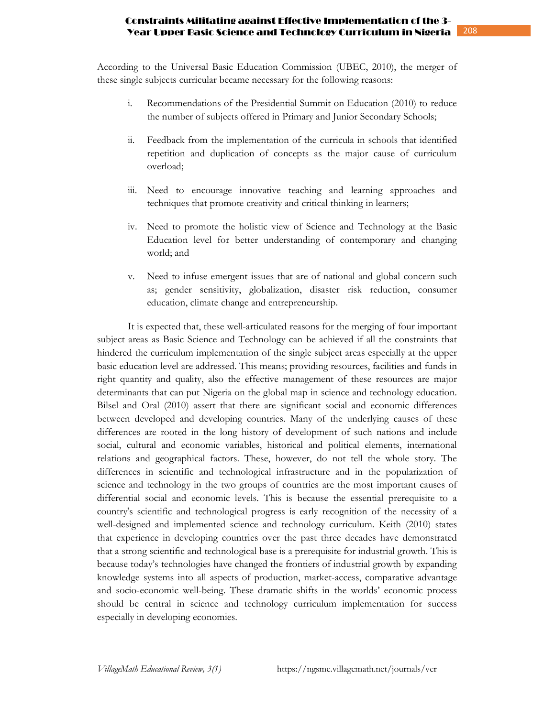According to the Universal Basic Education Commission (UBEC, 2010), the merger of these single subjects curricular became necessary for the following reasons:

- i. Recommendations of the Presidential Summit on Education (2010) to reduce the number of subjects offered in Primary and Junior Secondary Schools;
- ii. Feedback from the implementation of the curricula in schools that identified repetition and duplication of concepts as the major cause of curriculum overload;
- iii. Need to encourage innovative teaching and learning approaches and techniques that promote creativity and critical thinking in learners;
- iv. Need to promote the holistic view of Science and Technology at the Basic Education level for better understanding of contemporary and changing world; and
- v. Need to infuse emergent issues that are of national and global concern such as; gender sensitivity, globalization, disaster risk reduction, consumer education, climate change and entrepreneurship.

It is expected that, these well-articulated reasons for the merging of four important subject areas as Basic Science and Technology can be achieved if all the constraints that hindered the curriculum implementation of the single subject areas especially at the upper basic education level are addressed. This means; providing resources, facilities and funds in right quantity and quality, also the effective management of these resources are major determinants that can put Nigeria on the global map in science and technology education. Bilsel and Oral (2010) assert that there are significant social and economic differences between developed and developing countries. Many of the underlying causes of these differences are rooted in the long history of development of such nations and include social, cultural and economic variables, historical and political elements, international relations and geographical factors. These, however, do not tell the whole story. The differences in scientific and technological infrastructure and in the popularization of science and technology in the two groups of countries are the most important causes of differential social and economic levels. This is because the essential prerequisite to a country's scientific and technological progress is early recognition of the necessity of a well-designed and implemented science and technology curriculum. Keith (2010) states that experience in developing countries over the past three decades have demonstrated that a strong scientific and technological base is a prerequisite for industrial growth. This is because today's technologies have changed the frontiers of industrial growth by expanding knowledge systems into all aspects of production, market-access, comparative advantage and socio-economic well-being. These dramatic shifts in the worlds' economic process should be central in science and technology curriculum implementation for success especially in developing economies.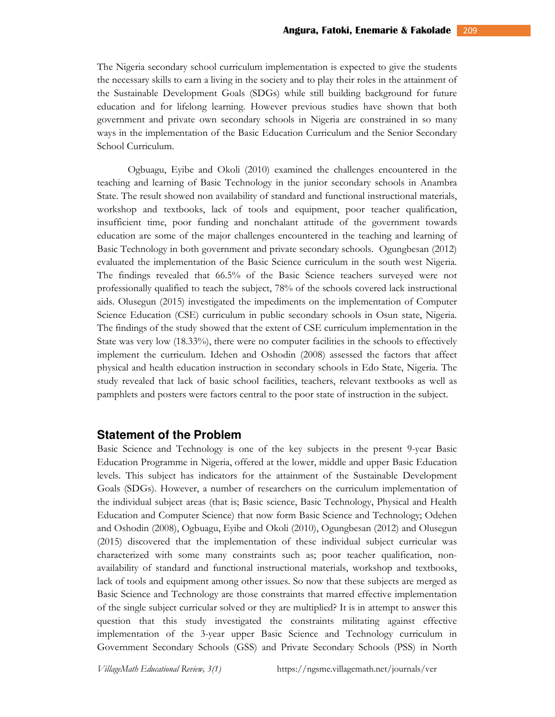The Nigeria secondary school curriculum implementation is expected to give the students the necessary skills to earn a living in the society and to play their roles in the attainment of the Sustainable Development Goals (SDGs) while still building background for future education and for lifelong learning. However previous studies have shown that both government and private own secondary schools in Nigeria are constrained in so many ways in the implementation of the Basic Education Curriculum and the Senior Secondary School Curriculum.

Ogbuagu, Eyibe and Okoli (2010) examined the challenges encountered in the teaching and learning of Basic Technology in the junior secondary schools in Anambra State. The result showed non availability of standard and functional instructional materials, workshop and textbooks, lack of tools and equipment, poor teacher qualification, insufficient time, poor funding and nonchalant attitude of the government towards education are some of the major challenges encountered in the teaching and learning of Basic Technology in both government and private secondary schools. Ogungbesan (2012) evaluated the implementation of the Basic Science curriculum in the south west Nigeria. The findings revealed that 66.5% of the Basic Science teachers surveyed were not professionally qualified to teach the subject, 78% of the schools covered lack instructional aids. Olusegun (2015) investigated the impediments on the implementation of Computer Science Education (CSE) curriculum in public secondary schools in Osun state, Nigeria. The findings of the study showed that the extent of CSE curriculum implementation in the State was very low (18.33%), there were no computer facilities in the schools to effectively implement the curriculum. Idehen and Oshodin (2008) assessed the factors that affect physical and health education instruction in secondary schools in Edo State, Nigeria. The study revealed that lack of basic school facilities, teachers, relevant textbooks as well as pamphlets and posters were factors central to the poor state of instruction in the subject.

## **Statement of the Problem**

Basic Science and Technology is one of the key subjects in the present 9-year Basic Education Programme in Nigeria, offered at the lower, middle and upper Basic Education levels. This subject has indicators for the attainment of the Sustainable Development Goals (SDGs). However, a number of researchers on the curriculum implementation of the individual subject areas (that is; Basic science, Basic Technology, Physical and Health Education and Computer Science) that now form Basic Science and Technology; Odehen and Oshodin (2008), Ogbuagu, Eyibe and Okoli (2010), Ogungbesan (2012) and Olusegun (2015) discovered that the implementation of these individual subject curricular was characterized with some many constraints such as; poor teacher qualification, nonavailability of standard and functional instructional materials, workshop and textbooks, lack of tools and equipment among other issues. So now that these subjects are merged as Basic Science and Technology are those constraints that marred effective implementation of the single subject curricular solved or they are multiplied? It is in attempt to answer this question that this study investigated the constraints militating against effective implementation of the 3-year upper Basic Science and Technology curriculum in Government Secondary Schools (GSS) and Private Secondary Schools (PSS) in North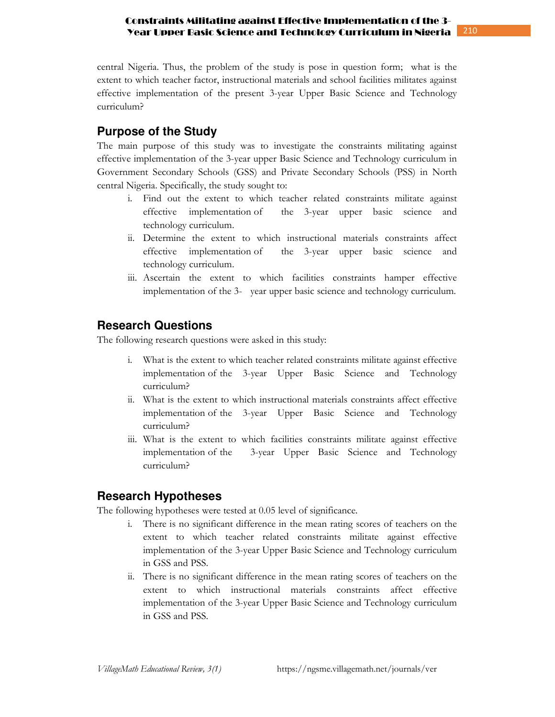central Nigeria. Thus, the problem of the study is pose in question form; what is the extent to which teacher factor, instructional materials and school facilities militates against effective implementation of the present 3-year Upper Basic Science and Technology curriculum?

## **Purpose of the Study**

The main purpose of this study was to investigate the constraints militating against effective implementation of the 3-year upper Basic Science and Technology curriculum in Government Secondary Schools (GSS) and Private Secondary Schools (PSS) in North central Nigeria. Specifically, the study sought to:

- i. Find out the extent to which teacher related constraints militate against effective implementation of the 3-year upper basic science and technology curriculum.
- ii. Determine the extent to which instructional materials constraints affect effective implementation of the 3-year upper basic science and technology curriculum.
- iii. Ascertain the extent to which facilities constraints hamper effective implementation of the 3- year upper basic science and technology curriculum.

## **Research Questions**

The following research questions were asked in this study:

- i. What is the extent to which teacher related constraints militate against effective implementation of the 3-year Upper Basic Science and Technology curriculum?
- ii. What is the extent to which instructional materials constraints affect effective implementation of the 3-year Upper Basic Science and Technology curriculum?
- iii. What is the extent to which facilities constraints militate against effective implementation of the 3-year Upper Basic Science and Technology curriculum?

## **Research Hypotheses**

The following hypotheses were tested at 0.05 level of significance.

- i. There is no significant difference in the mean rating scores of teachers on the extent to which teacher related constraints militate against effective implementation of the 3-year Upper Basic Science and Technology curriculum in GSS and PSS.
- ii. There is no significant difference in the mean rating scores of teachers on the extent to which instructional materials constraints affect effective implementation of the 3-year Upper Basic Science and Technology curriculum in GSS and PSS.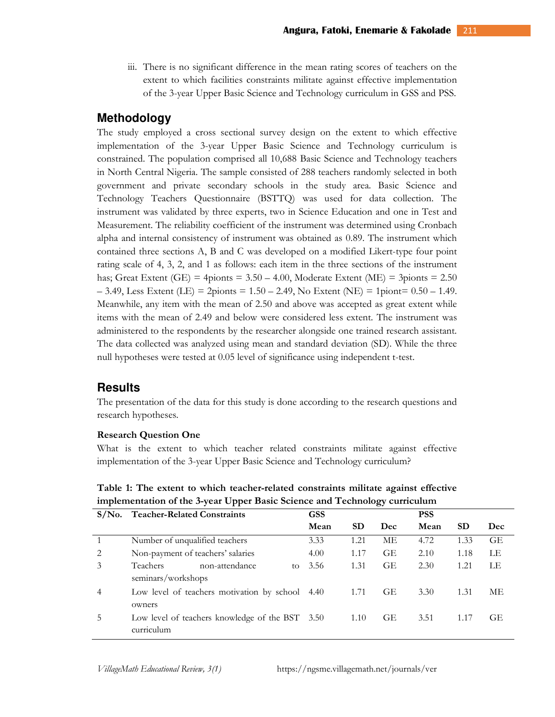iii. There is no significant difference in the mean rating scores of teachers on the extent to which facilities constraints militate against effective implementation of the 3-year Upper Basic Science and Technology curriculum in GSS and PSS.

## **Methodology**

The study employed a cross sectional survey design on the extent to which effective implementation of the 3-year Upper Basic Science and Technology curriculum is constrained. The population comprised all 10,688 Basic Science and Technology teachers in North Central Nigeria. The sample consisted of 288 teachers randomly selected in both government and private secondary schools in the study area. Basic Science and Technology Teachers Questionnaire (BSTTQ) was used for data collection. The instrument was validated by three experts, two in Science Education and one in Test and Measurement. The reliability coefficient of the instrument was determined using Cronbach alpha and internal consistency of instrument was obtained as 0.89. The instrument which contained three sections A, B and C was developed on a modified Likert-type four point rating scale of 4, 3, 2, and 1 as follows: each item in the three sections of the instrument has; Great Extent (GE) = 4pionts =  $3.50 - 4.00$ , Moderate Extent (ME) = 3pionts =  $2.50$  $-$  3.49, Less Extent (LE) = 2pionts = 1.50 – 2.49, No Extent (NE) = 1piont= 0.50 – 1.49. Meanwhile, any item with the mean of 2.50 and above was accepted as great extent while items with the mean of 2.49 and below were considered less extent. The instrument was administered to the respondents by the researcher alongside one trained research assistant. The data collected was analyzed using mean and standard deviation (SD). While the three null hypotheses were tested at 0.05 level of significance using independent t-test.

## **Results**

The presentation of the data for this study is done according to the research questions and research hypotheses.

#### **Research Question One**

What is the extent to which teacher related constraints militate against effective implementation of the 3-year Upper Basic Science and Technology curriculum?

**Table 1: The extent to which teacher-related constraints militate against effective implementation of the 3-year Upper Basic Science and Technology curriculum** 

| $S/N0$ .       | <b>Teacher-Related Constraints</b>                            | GSS  |      | ັ   | <b>PSS</b> |           |           |
|----------------|---------------------------------------------------------------|------|------|-----|------------|-----------|-----------|
|                |                                                               | Mean | SD   | Dec | Mean       | <b>SD</b> | Dec       |
| $\overline{1}$ | Number of unqualified teachers                                | 3.33 | 1.21 | MЕ  | 4.72       | 1.33      | <b>GE</b> |
| 2              | Non-payment of teachers' salaries                             | 4.00 | 1.17 | GE  | 2.10       | 1.18      | LE        |
| 3              | Teachers<br>non-attendance<br>to<br>seminars/workshops        | 3.56 | 1.31 | GE  | 2.30       | 1.21      | LE        |
| $\overline{4}$ | Low level of teachers motivation by school 4.40<br>owners     |      | 1.71 | GE  | 3.30       | 1.31      | MЕ        |
| .5             | Low level of teachers knowledge of the BST 3.50<br>curriculum |      | 1.10 | GE  | 3.51       | 1.17      | GE        |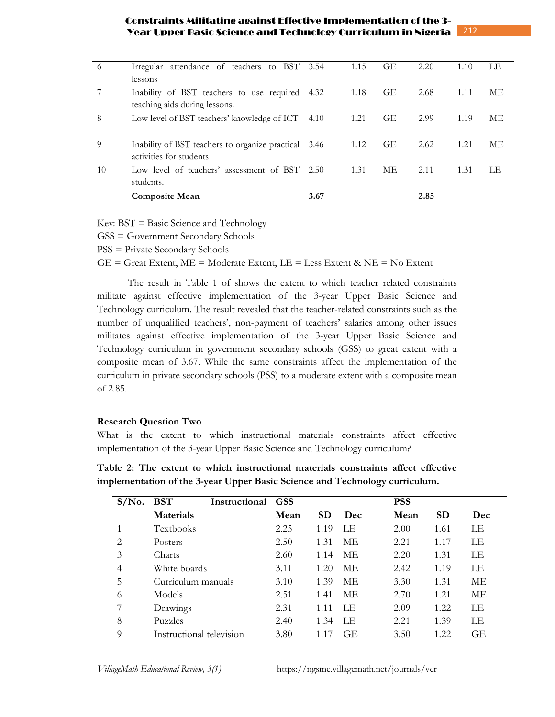| -6 | Irregular attendance of teachers to BST 3.54                                    |        | 1.15 | GE        | 2.20 | 1.10 | LE |
|----|---------------------------------------------------------------------------------|--------|------|-----------|------|------|----|
|    | lessons                                                                         |        |      |           |      |      |    |
|    | Inability of BST teachers to use required 4.32                                  |        | 1.18 | <b>GE</b> | 2.68 | 1.11 | МE |
|    | teaching aids during lessons.                                                   |        |      |           |      |      |    |
| 8  | Low level of BST teachers' knowledge of ICT                                     | 4.10   | 1.21 | <b>GE</b> | 2.99 | 1.19 | МE |
|    |                                                                                 |        |      |           |      |      |    |
| 9  | Inability of BST teachers to organize practical 3.46<br>activities for students |        | 1.12 | <b>GE</b> | 2.62 | 1.21 | МE |
|    |                                                                                 |        |      |           |      |      |    |
| 10 | Low level of teachers' assessment of BST<br>students.                           | - 2.50 | 1.31 | МE        | 2.11 | 1.31 | LE |
|    |                                                                                 | 3.67   |      |           | 2.85 |      |    |
|    | <b>Composite Mean</b>                                                           |        |      |           |      |      |    |

Key: BST = Basic Science and Technology

GSS = Government Secondary Schools

PSS = Private Secondary Schools

 $GE =$  Great Extent,  $ME =$  Moderate Extent,  $LE =$  Less Extent & NE = No Extent

The result in Table 1 of shows the extent to which teacher related constraints militate against effective implementation of the 3-year Upper Basic Science and Technology curriculum. The result revealed that the teacher-related constraints such as the number of unqualified teachers', non-payment of teachers' salaries among other issues militates against effective implementation of the 3-year Upper Basic Science and Technology curriculum in government secondary schools (GSS) to great extent with a composite mean of 3.67. While the same constraints affect the implementation of the curriculum in private secondary schools (PSS) to a moderate extent with a composite mean of 2.85.

## **Research Question Two**

What is the extent to which instructional materials constraints affect effective implementation of the 3-year Upper Basic Science and Technology curriculum?

| $S/N0$ . | <b>BST</b><br>Instructional | <b>GSS</b> |           |            | <b>PSS</b> |           |     |
|----------|-----------------------------|------------|-----------|------------|------------|-----------|-----|
|          | <b>Materials</b>            | Mean       | <b>SD</b> | <b>Dec</b> | Mean       | <b>SD</b> | Dec |
|          | Textbooks                   | 2.25       | 1.19      | LE         | 2.00       | 1.61      | LE  |
| 2        | Posters                     | 2.50       | 1.31      | МE         | 2.21       | 1.17      | LE  |
| 3        | Charts                      | 2.60       | 1.14      | ME         | 2.20       | 1.31      | LE  |
| 4        | White boards                | 3.11       | 1.20      | МE         | 2.42       | 1.19      | LЕ  |
| 5        | Curriculum manuals          | 3.10       | 1.39      | МE         | 3.30       | 1.31      | МE  |
| 6        | Models                      | 2.51       | 1.41      | ME.        | 2.70       | 1.21      | МE  |
|          | Drawings                    | 2.31       | 1.11      | T.E        | 2.09       | 1.22      | LE  |
| 8        | Puzzles                     | 2.40       | 1.34      | ΙE         | 2.21       | 1.39      | LE  |
| 9        | Instructional television    | 3.80       | 1 1 7     | <b>GE</b>  | 3.50       | 1.22      | GЕ  |

**Table 2: The extent to which instructional materials constraints affect effective implementation of the 3-year Upper Basic Science and Technology curriculum.**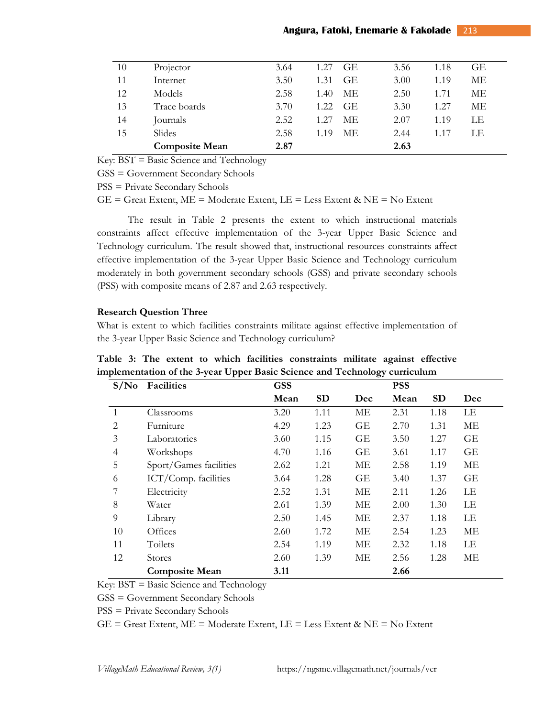| 10 | Projector             | 3.64 | 1.27<br>GE.       | 3.56 | 1.18 | GЕ |  |
|----|-----------------------|------|-------------------|------|------|----|--|
| 11 | Internet              | 3.50 | 1.31<br><b>GE</b> | 3.00 | 1.19 | MЕ |  |
| 12 | Models                | 2.58 | МE<br>1.40        | 2.50 | 1.71 | MЕ |  |
| 13 | Trace boards          | 3.70 | 1.22.<br>GE.      | 3.30 | 1.27 | МE |  |
| 14 | Journals              | 2.52 | 1.27<br>МE        | 2.07 | 1.19 | LE |  |
| 15 | Slides                | 2.58 | МE<br>1.19        | 2.44 | 1.17 | LE |  |
|    | <b>Composite Mean</b> | 2.87 |                   | 2.63 |      |    |  |

Key: BST = Basic Science and Technology

GSS = Government Secondary Schools

PSS = Private Secondary Schools

 $GE =$  Great Extent,  $ME =$  Moderate Extent,  $LE =$  Less Extent &  $NE =$  No Extent

The result in Table 2 presents the extent to which instructional materials constraints affect effective implementation of the 3-year Upper Basic Science and Technology curriculum. The result showed that, instructional resources constraints affect effective implementation of the 3-year Upper Basic Science and Technology curriculum moderately in both government secondary schools (GSS) and private secondary schools (PSS) with composite means of 2.87 and 2.63 respectively.

#### **Research Question Three**

What is extent to which facilities constraints militate against effective implementation of the 3-year Upper Basic Science and Technology curriculum?

**S/No Facilities GSS Mean SD Dec PSS Mean SD Dec**  1 Classrooms 3.20 1.11 ME 2.31 1.18 LE 2 Furniture 4.29 1.23 GE 2.70 1.31 ME 3 Laboratories 3.60 1.15 GE 3.50 1.27 GE 4 Workshops 4.70 1.16 GE 3.61 1.17 GE 5 Sport/Games facilities 2.62 1.21 ME 2.58 1.19 ME 6 ICT/Comp. facilities 3.64 1.28 GE 3.40 1.37 GE 7 Electricity 2.52 1.31 ME 2.11 1.26 LE 8 Water 2.61 1.39 ME 2.00 1.30 LE 9 Library 2.50 1.45 ME 2.37 1.18 LE 10 Offices 2.60 1.72 ME 2.54 1.23 ME 11 Toilets 2.54 1.19 ME 2.32 1.18 LE 12 Stores 2.60 1.39 ME 2.56 1.28 ME **Composite Mean 3.11 2.66**

**Table 3: The extent to which facilities constraints militate against effective implementation of the 3-year Upper Basic Science and Technology curriculum** 

Key: BST = Basic Science and Technology

GSS = Government Secondary Schools

PSS = Private Secondary Schools

 $GE =$  Great Extent,  $ME =$  Moderate Extent,  $LE =$  Less Extent & NE = No Extent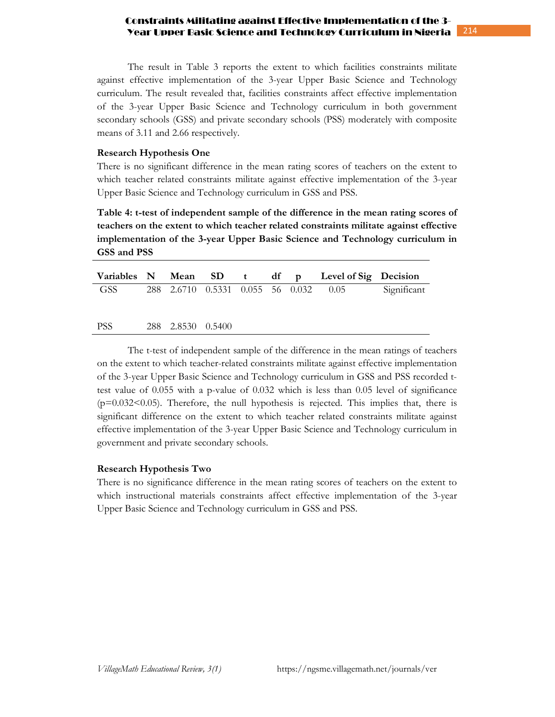The result in Table 3 reports the extent to which facilities constraints militate against effective implementation of the 3-year Upper Basic Science and Technology curriculum. The result revealed that, facilities constraints affect effective implementation of the 3-year Upper Basic Science and Technology curriculum in both government secondary schools (GSS) and private secondary schools (PSS) moderately with composite means of 3.11 and 2.66 respectively.

#### **Research Hypothesis One**

There is no significant difference in the mean rating scores of teachers on the extent to which teacher related constraints militate against effective implementation of the 3-year Upper Basic Science and Technology curriculum in GSS and PSS.

**Table 4: t-test of independent sample of the difference in the mean rating scores of teachers on the extent to which teacher related constraints militate against effective implementation of the 3-year Upper Basic Science and Technology curriculum in GSS and PSS**

|            |                   |  |  | Variables N Mean SD t df p Level of Sig Decision |             |
|------------|-------------------|--|--|--------------------------------------------------|-------------|
| GSS        |                   |  |  | 288 2.6710 0.5331 0.055 56 0.032 0.05            | Significant |
|            |                   |  |  |                                                  |             |
| <b>PSS</b> | 288 2.8530 0.5400 |  |  |                                                  |             |

 The t-test of independent sample of the difference in the mean ratings of teachers on the extent to which teacher-related constraints militate against effective implementation of the 3-year Upper Basic Science and Technology curriculum in GSS and PSS recorded ttest value of 0.055 with a p-value of 0.032 which is less than 0.05 level of significance (p=0.032<0.05). Therefore, the null hypothesis is rejected. This implies that, there is significant difference on the extent to which teacher related constraints militate against effective implementation of the 3-year Upper Basic Science and Technology curriculum in government and private secondary schools.

## **Research Hypothesis Two**

There is no significance difference in the mean rating scores of teachers on the extent to which instructional materials constraints affect effective implementation of the 3-year Upper Basic Science and Technology curriculum in GSS and PSS.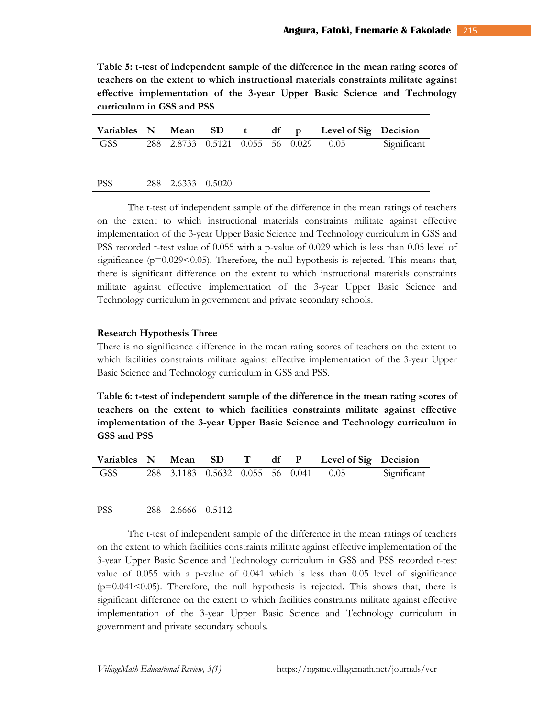**Table 5: t-test of independent sample of the difference in the mean rating scores of teachers on the extent to which instructional materials constraints militate against effective implementation of the 3-year Upper Basic Science and Technology curriculum in GSS and PSS** 

|      |                   |  |  | Variables N Mean SD t df p Level of Sig Decision |             |
|------|-------------------|--|--|--------------------------------------------------|-------------|
| GSS  |                   |  |  | 288 2.8733 0.5121 0.055 56 0.029 0.05            | Significant |
|      |                   |  |  |                                                  |             |
| PSS. | 288 2.6333 0.5020 |  |  |                                                  |             |

 The t-test of independent sample of the difference in the mean ratings of teachers on the extent to which instructional materials constraints militate against effective implementation of the 3-year Upper Basic Science and Technology curriculum in GSS and PSS recorded t-test value of 0.055 with a p-value of 0.029 which is less than 0.05 level of significance ( $p=0.029<0.05$ ). Therefore, the null hypothesis is rejected. This means that, there is significant difference on the extent to which instructional materials constraints militate against effective implementation of the 3-year Upper Basic Science and Technology curriculum in government and private secondary schools.

#### **Research Hypothesis Three**

There is no significance difference in the mean rating scores of teachers on the extent to which facilities constraints militate against effective implementation of the 3-year Upper Basic Science and Technology curriculum in GSS and PSS.

**Table 6: t-test of independent sample of the difference in the mean rating scores of teachers on the extent to which facilities constraints militate against effective implementation of the 3-year Upper Basic Science and Technology curriculum in GSS and PSS** 

|       |  |  |  | Variables N Mean SD T df P Level of Sig Decision |             |
|-------|--|--|--|--------------------------------------------------|-------------|
| GSS – |  |  |  | 288 3.1183 0.5632 0.055 56 0.041 0.05            | Significant |
|       |  |  |  |                                                  |             |

PSS 288 2.6666 0.5112

 The t-test of independent sample of the difference in the mean ratings of teachers on the extent to which facilities constraints militate against effective implementation of the 3-year Upper Basic Science and Technology curriculum in GSS and PSS recorded t-test value of 0.055 with a p-value of 0.041 which is less than 0.05 level of significance  $(p=0.041<0.05)$ . Therefore, the null hypothesis is rejected. This shows that, there is significant difference on the extent to which facilities constraints militate against effective implementation of the 3-year Upper Basic Science and Technology curriculum in government and private secondary schools.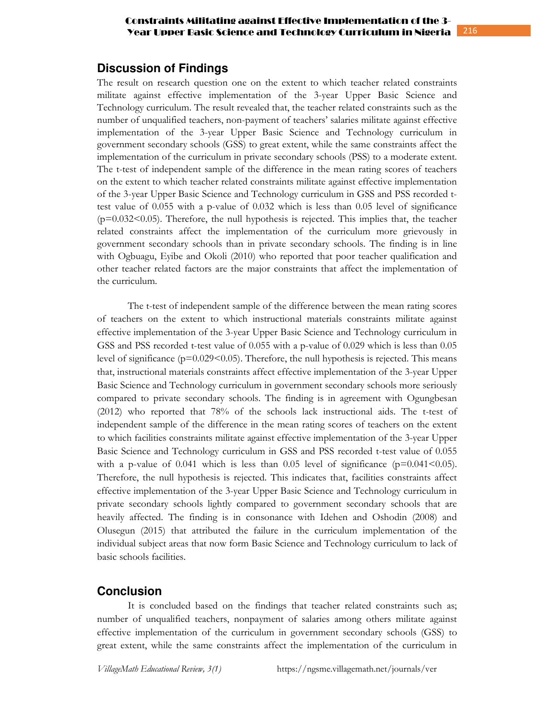## **Discussion of Findings**

The result on research question one on the extent to which teacher related constraints militate against effective implementation of the 3-year Upper Basic Science and Technology curriculum. The result revealed that, the teacher related constraints such as the number of unqualified teachers, non-payment of teachers' salaries militate against effective implementation of the 3-year Upper Basic Science and Technology curriculum in government secondary schools (GSS) to great extent, while the same constraints affect the implementation of the curriculum in private secondary schools (PSS) to a moderate extent. The t-test of independent sample of the difference in the mean rating scores of teachers on the extent to which teacher related constraints militate against effective implementation of the 3-year Upper Basic Science and Technology curriculum in GSS and PSS recorded ttest value of 0.055 with a p-value of 0.032 which is less than 0.05 level of significance (p=0.032<0.05). Therefore, the null hypothesis is rejected. This implies that, the teacher related constraints affect the implementation of the curriculum more grievously in government secondary schools than in private secondary schools. The finding is in line with Ogbuagu, Eyibe and Okoli (2010) who reported that poor teacher qualification and other teacher related factors are the major constraints that affect the implementation of the curriculum.

The t-test of independent sample of the difference between the mean rating scores of teachers on the extent to which instructional materials constraints militate against effective implementation of the 3-year Upper Basic Science and Technology curriculum in GSS and PSS recorded t-test value of 0.055 with a p-value of 0.029 which is less than 0.05 level of significance ( $p=0.029<0.05$ ). Therefore, the null hypothesis is rejected. This means that, instructional materials constraints affect effective implementation of the 3-year Upper Basic Science and Technology curriculum in government secondary schools more seriously compared to private secondary schools. The finding is in agreement with Ogungbesan (2012) who reported that 78% of the schools lack instructional aids. The t-test of independent sample of the difference in the mean rating scores of teachers on the extent to which facilities constraints militate against effective implementation of the 3-year Upper Basic Science and Technology curriculum in GSS and PSS recorded t-test value of 0.055 with a p-value of 0.041 which is less than 0.05 level of significance ( $p=0.041<0.05$ ). Therefore, the null hypothesis is rejected. This indicates that, facilities constraints affect effective implementation of the 3-year Upper Basic Science and Technology curriculum in private secondary schools lightly compared to government secondary schools that are heavily affected. The finding is in consonance with Idehen and Oshodin (2008) and Olusegun (2015) that attributed the failure in the curriculum implementation of the individual subject areas that now form Basic Science and Technology curriculum to lack of basic schools facilities.

## **Conclusion**

It is concluded based on the findings that teacher related constraints such as; number of unqualified teachers, nonpayment of salaries among others militate against effective implementation of the curriculum in government secondary schools (GSS) to great extent, while the same constraints affect the implementation of the curriculum in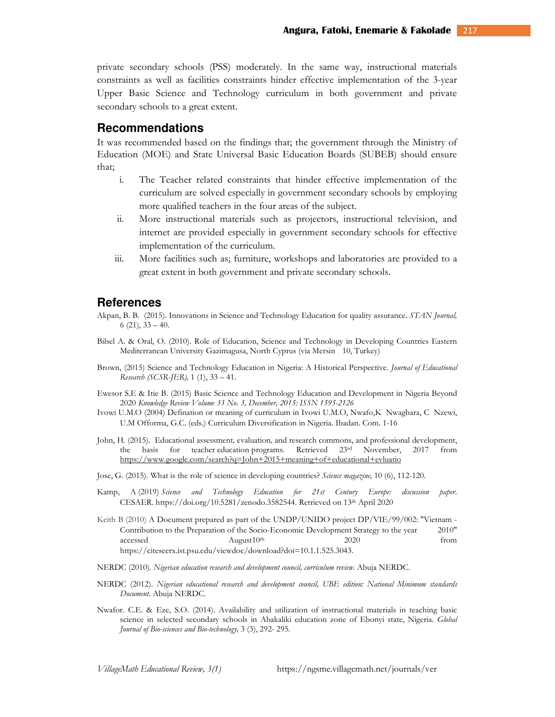private secondary schools (PSS) moderately. In the same way, instructional materials constraints as well as facilities constraints hinder effective implementation of the 3-year Upper Basic Science and Technology curriculum in both government and private secondary schools to a great extent.

### **Recommendations**

It was recommended based on the findings that; the government through the Ministry of Education (MOE) and State Universal Basic Education Boards (SUBEB) should ensure that;

- i. The Teacher related constraints that hinder effective implementation of the curriculum are solved especially in government secondary schools by employing more qualified teachers in the four areas of the subject.
- ii. More instructional materials such as projectors, instructional television, and internet are provided especially in government secondary schools for effective implementation of the curriculum.
- iii. More facilities such as; furniture, workshops and laboratories are provided to a great extent in both government and private secondary schools.

## **References**

- Akpan, B. B. (2015). Innovations in Science and Technology Education for quality assurance. *STAN Journal,*  6 (21),  $33 - 40$ .
- Bilsel A. & Oral, O. (2010). Role of Education, Science and Technology in Developing Countries Eastern Mediterranean University Gazimagusa, North Cyprus (via Mersin 10, Turkey)
- Brown, (2015) Science and Technology Education in Nigeria: A Historical Perspective. *Journal of Educational Research (SCSR-JER),* 1 (1), 33 – 41.
- Ewesor S.E & Itie B. (2015) Basic Science and Technology Education and Development in Nigeria Beyond 2020 *Knowledge Review Volume 33 No. 3, December, 2015: ISSN 1595-2126*
- Ivowi U.M.O (2004) Defination or meaning of curriculum in Ivowi U.M.O, Nwafo,K Nwagbara, C Nzewi, U.M Offorma, G.C. (eds.) Curriculum Diversification in Nigeria. Ibadan. Com. 1-16
- John, H. (2015). Educational assessment*,* evaluation*,* and research commons, and professional development, the basis for teacher education programs. Retrieved 23rd November, 2017 from https://www.google.com/search?q=John+2015+meaning+of+educational+evluatio
- Jose, G. (2015). What is the role of science in developing countries? *Science magazine,* 10 (6), 112-120*.*
- Kamp, A (2019) *Science and Technology Education for 21st Century Europe: discussion paper*. CESAER. https://doi.org/10.5281/zenodo.3582544. Retrieved on 13th April 2020
- Keith B (2010) A Document prepared as part of the UNDP/UNIDO project DP/VIE/99/002: "Vietnam -Contribution to the Preparation of the Socio-Economic Development Strategy to the year 2010"  $\alpha$ ccessed  $\alpha$ ugust $10^{\text{th}}$  2020 from https://citeseerx.ist.psu.edu/viewdoc/download?doi=10.1.1.525.3043.
- NERDC (2010). *Nigerian education research and development council, curriculum review.* Abuja NERDC.
- NERDC (2012). *Nigerian educational research and development council, UBE edition: National Minimum standards Document*. Abuja NERDC.
- Nwafor. C.E. & Eze, S.O. (2014). Availability and utilization of instructional materials in teaching basic science in selected secondary schools in Abakaliki education zone of Ebonyi state, Nigeria. *Global Journal of Bio-sciences and Bio-technology,* 3 (3), 292- 295.